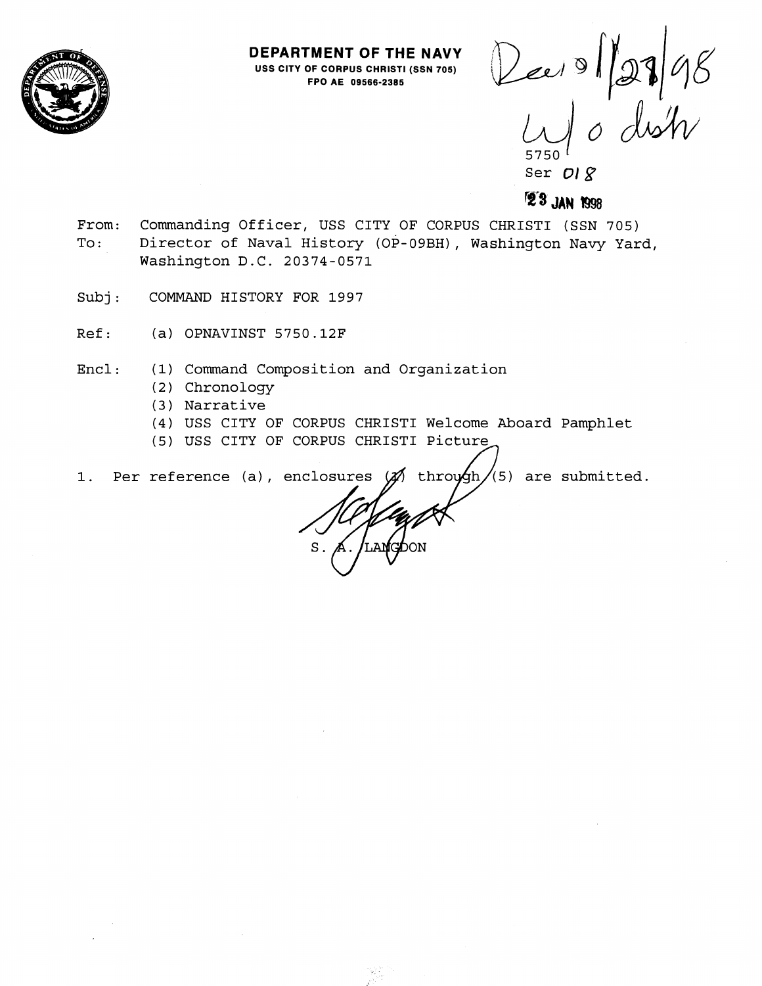

**DEPARTMENT OF THE NAVY USS CITY OF CORPUS CHRIST1 (SSN 705) FPO AE 09566-2385** 

Dee 0 127 98 5750 <sup>(</sup>

Ser **01** g

# **vs JAN** !998

- From: Commanding Officer, USS CITY OF CORPUS CHRISTI (SSN 705) To: Director of Naval History (OP-09BH), Washington Navy Yard, Washington D.C. 20374-0571
- Subj: COMMAND HISTORY FOR 1997
- Ref: (a) OPNAVINST 5750.12F
- Encl: (1) Command Composition and Organization
	- (2) Chronology
	- ( 3 ) Narrative
	- (4) USS CITY OF CORPUS CHRIST1 Welcome Aboard Pamphlet
	- (5) USS CITY OF CORPUS CHRIST1 Pictu

1. Per reference (a), enclosures  $\mathscr{A}$  through/(5) are submitted.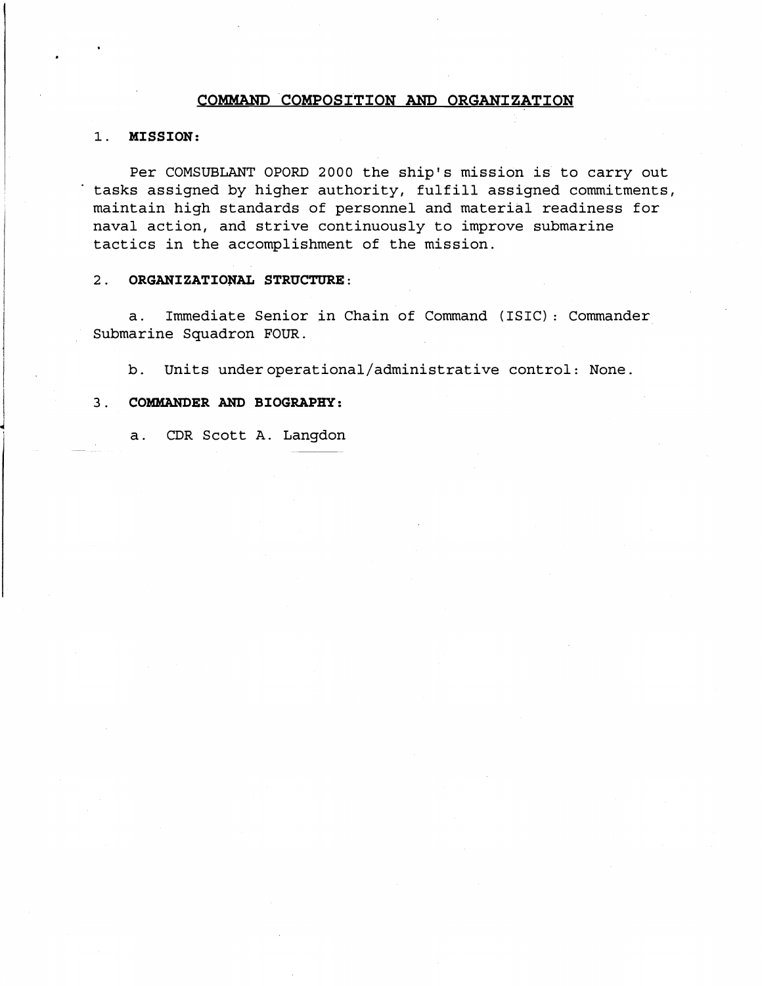# **COMMAND COMPOSITION AND ORGANIZATION**

# 1. MISSION:

Per COMSUBLANT OPORD 2000 the ship's mission is to carry out tasks assigned by higher authority, fulfill assigned commitments, maintain high standards of personnel and material readiness for naval action, and strive continuously to improve submarine tactics in the accomplishment of the mission.

# 2. ORGANIZATIONAL STRUCTURE:

a. Immediate Senior in Chain of Command (ISIC) : Commander Submarine Squadron FOUR.

b. Units **underoperational/administrative** control: None.

# 3. COMMANDER AND BIOGRAPHY:

a. CDR Scott A. Langdon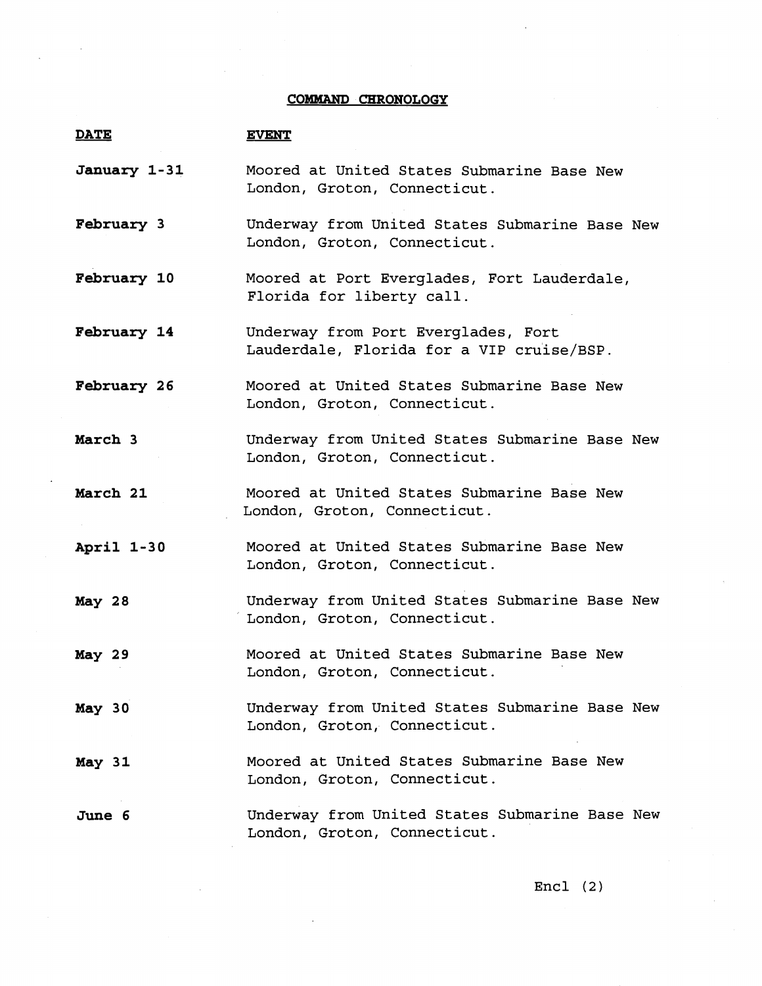# **COMMAND CHRONOLOGY**

| <b>DATE</b>       | <b>EVENT</b>                                                                     |
|-------------------|----------------------------------------------------------------------------------|
| January 1-31      | Moored at United States Submarine Base New<br>London, Groton, Connecticut.       |
| <b>February 3</b> | Underway from United States Submarine Base New<br>London, Groton, Connecticut.   |
| February 10       | Moored at Port Everglades, Fort Lauderdale,<br>Florida for liberty call.         |
| February 14       | Underway from Port Everglades, Fort<br>Lauderdale, Florida for a VIP cruise/BSP. |
| February 26       | Moored at United States Submarine Base New<br>London, Groton, Connecticut.       |
| March 3           | Underway from United States Submarine Base New<br>London, Groton, Connecticut.   |
| March 21          | Moored at United States Submarine Base New<br>London, Groton, Connecticut.       |
| April 1-30        | Moored at United States Submarine Base New<br>London, Groton, Connecticut.       |
| May 28            | Underway from United States Submarine Base New<br>London, Groton, Connecticut.   |
| May 29            | Moored at United States Submarine Base New<br>London, Groton, Connecticut.       |
| May 30            | Underway from United States Submarine Base New<br>London, Groton, Connecticut.   |
| May 31            | Moored at United States Submarine Base New<br>London, Groton, Connecticut.       |
| June 6            | Underway from United States Submarine Base New<br>London, Groton, Connecticut.   |

Encl (2)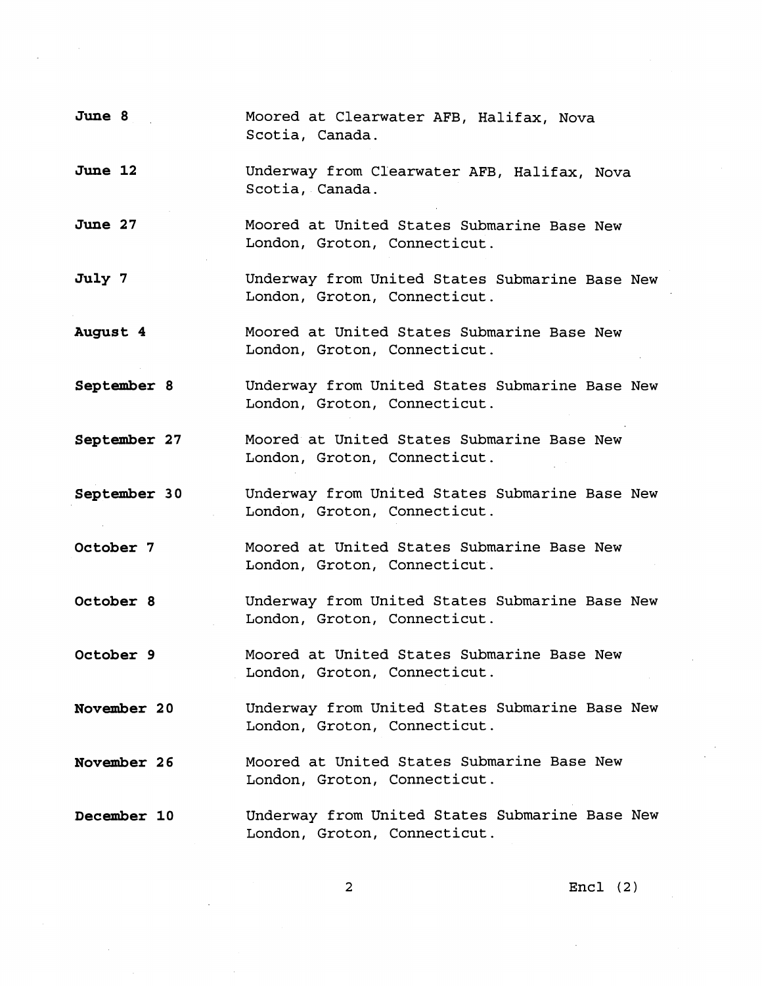**June 8 June 12 June 27 July 7 August 4 September 8 September 27 September 30 October 7 October 8 October 9 November 2 0 November 2 6 December 10**  Moored at Clearwater AFB, Halifax, Nova Scotia, Canada. Underway from Clearwater AFB, Halifax, Nova Scotia, Canada. Moored at United States Submarine Base New London, Groton, Connecticut. Underway from United States Submarine Base New London, Groton, Connecticut. Moored at United States Submarine Base New London, Groton, Connecticut. Underway from United States Submarine Base New London, Groton, Connecticut. Moored at United States Submarine Base New London, Groton, Connecticut. Underway from United States Submarine Base New London, Groton, Connecticut. Moored at United States Submarine Base New London, Groton, Connecticut. Underway from United States Submarine Base New London, Groton, Connecticut. Moored at United States Submarine Base New London, Groton, Connecticut. Underway from United States Submarine Base New London, Groton, Connecticut. Moored at United States Submarine Base New London, Groton, Connecticut. Underway from United States Submarine Base New London, Groton, Connecticut.

Encl (2)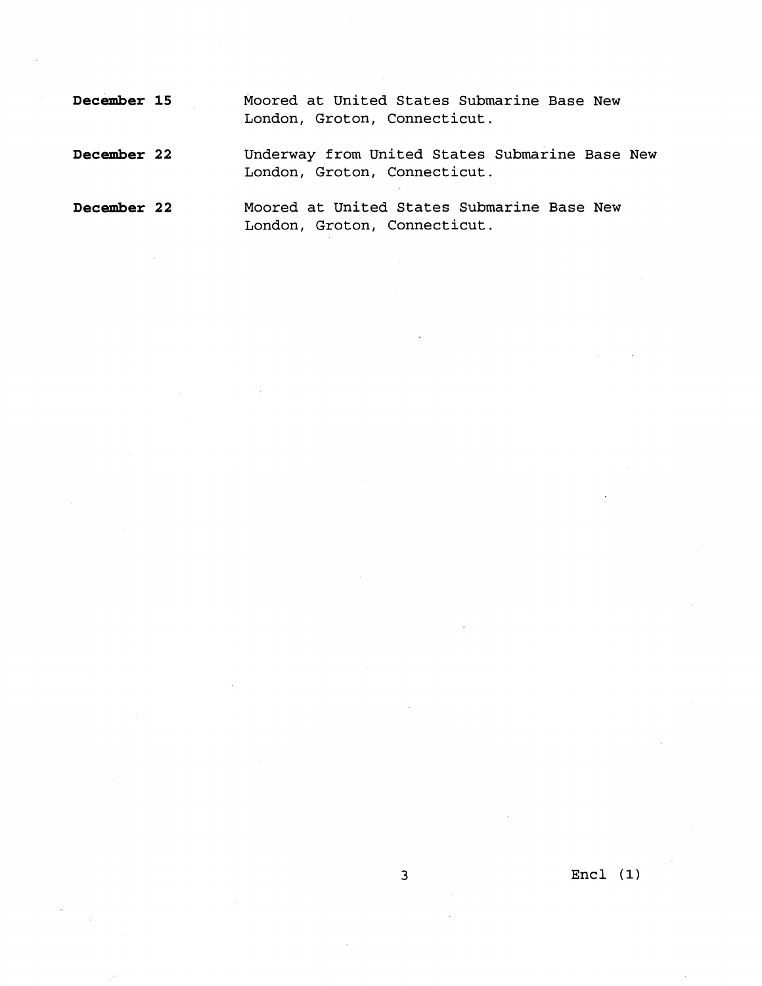| December 15 | Moored at United States Submarine Base New<br>London, Groton, Connecticut.     |
|-------------|--------------------------------------------------------------------------------|
| December 22 | Underway from United States Submarine Base New<br>London, Groton, Connecticut. |
| December 22 | Moored at United States Submarine Base New<br>London, Groton, Connecticut.     |

 $\hat{\mathcal{L}}$ 

Encl **(1)**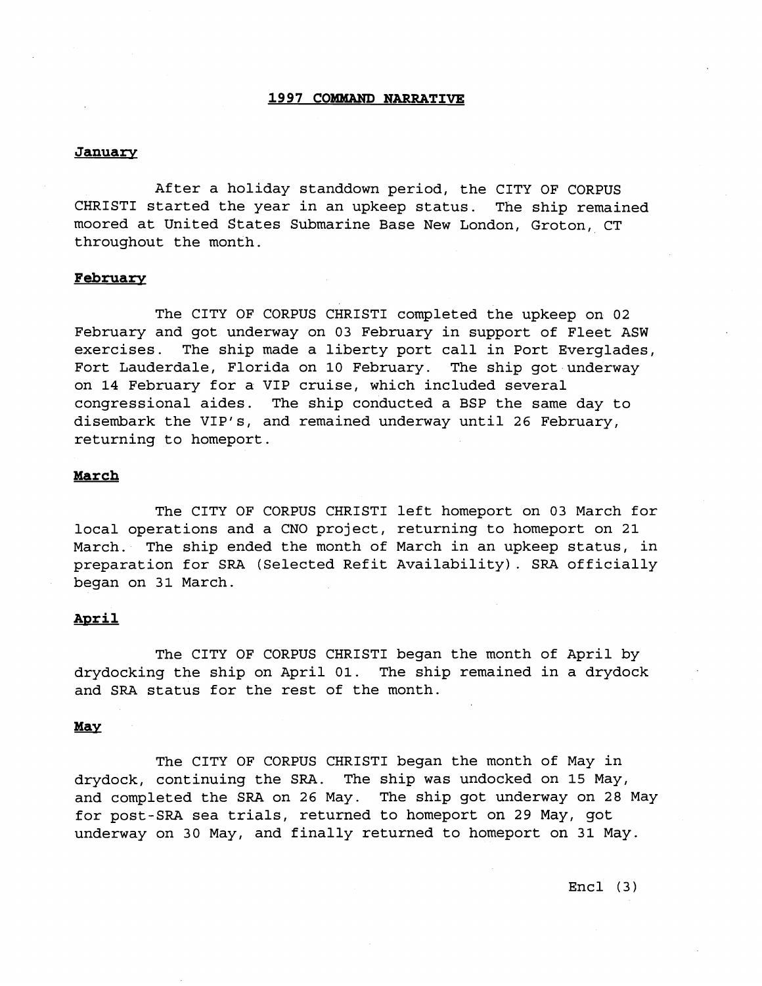#### **1997 COWWAND NARRATIVE**

#### **January**

After a holiday standdown period, the CITY OF CORPUS CHRIST1 started the year in an upkeep status. The ship remained moored at United States Submarine Base New London, Groton, CT throughout the month.

#### **February**

The CITY OF CORPUS CHRISTI completed the upkeep on 02 February and got underway on 03 February in support of Fleet ASW exercises. The ship made a liberty port call in Port Everglades, Fort Lauderdale, Florida on 10 February. The ship got underway on 14 February for a VIP cruise, which included several congressional aides. The ship conducted a BSP the same day to disembark the VIP's, and remained underway until 26 February, returning to homeport.

#### **March**

The CITY OF CORPUS CHRIST1 left homeport on 03 March for local operations and a CNO project, returning to homeport on 21 March. The ship ended the month of March in an upkeep status, in preparation for SRA (Selected Refit Availability). SRA officially began on 31 March.

#### April

The CITY OF CORPUS CHRIST1 began the month of April by drydocking the ship on April 01. The ship remained in a drydock and SRA status for the rest of the month.

#### May

The CITY OF CORPUS CHRIST1 began the month of May in drydock, continuing the SRA. The ship was undocked on 15 May, and completed the SRA on 26 May. The ship got underway on 28 May for post-SRA sea trials, returned to homeport on 29 May, got underway on 30 May, and finally returned to homeport on 31 May.

Encl (3)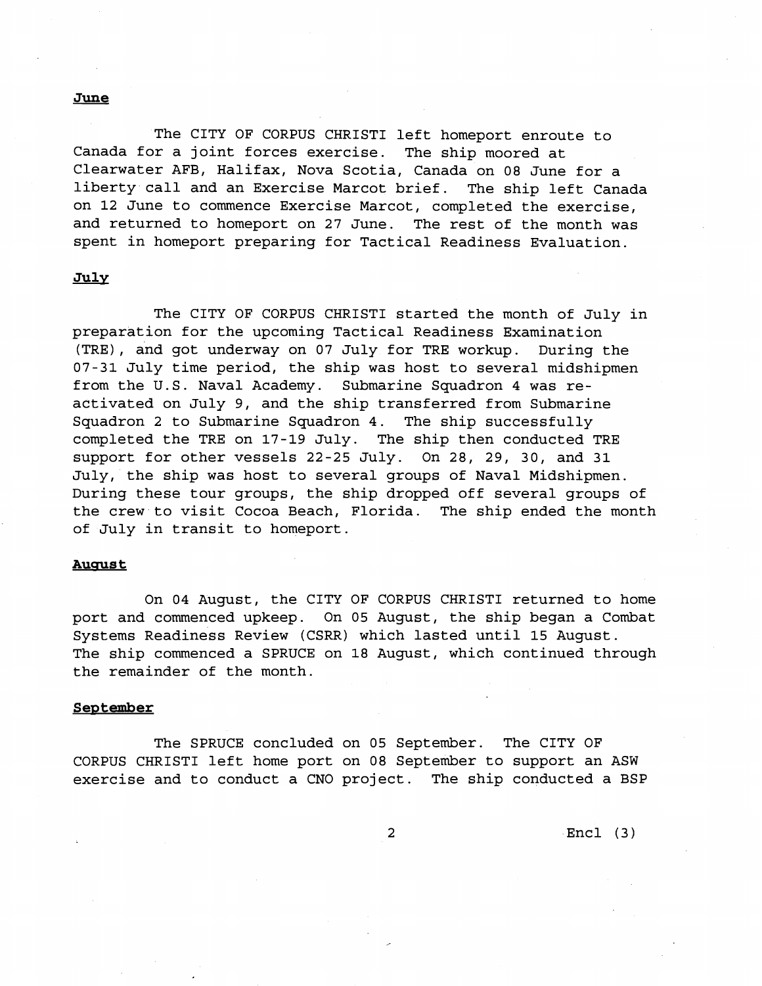#### **June**

The CITY OF CORPUS CHRIST1 left homeport enroute to Canada for a joint forces exercise. The ship moored at Clearwater AFB, Halifax, Nova Scotia, Canada on 08 June for a liberty call and an Exercise Marcot brief. The ship left Canada on 12 June to commence Exercise Marcot, completed the exercise, and returned to homeport on 27 June. The rest of the month was spent in homeport preparing for Tactical Readiness Evaluation.

# **Julv**

The CITY OF CORPUS CHRIST1 started the month of July in preparation for the upcoming Tactical Readiness Examination (TRE), and got underway on 07 July for TRE workup. During the 07-31 July time period, the ship was host to several midshipmen from the U.S. Naval Academy. Submarine Squadron 4 was reactivated on July 9, and the ship transferred from Submarine Squadron 2 to Submarine Squadron 4. The ship successfully completed the TRE on 17-19 July. The ship then conducted TRE support for other vessels 22-25 July. On 28, 29, 30, and 31 July, the ship was host to several groups of Naval Midshipmen. During these tour groups, the ship dropped off several groups of the crew to visit Cocoa Beach, Florida. The ship ended the month of July in transit to homeport.

#### **August**

On 04 August, the CITY OF CORPUS CHRIST1 returned to home port and commenced upkeep. On 05 August, the ship began a Combat Systems Readiness Review (CSRR) which lasted until 15 August. The ship commenced a SPRUCE on 18 August, which continued through the remainder of the month.

# **September**

The SPRUCE concluded on 05 September. The CITY OF CORPUS CHRIST1 left home port on 08 September to support an ASW exercise and to conduct a CNO project. The ship conducted a BSP

Encl (3)

2